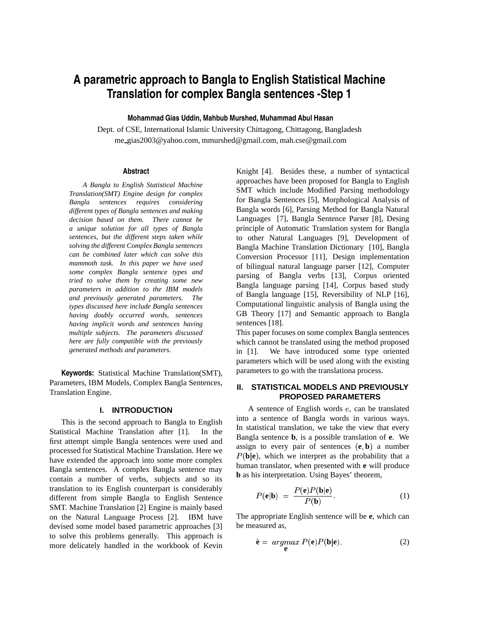# **A parametric approach to Bangla to English Statistical Machine Translation for complex Bangla sentences -Step 1**

# **Mohammad Gias Uddin, Mahbub Murshed, Muhammad Abul Hasan**

Dept. of CSE, International Islamic University Chittagong, Chittagong, Bangladesh me gias2003@yahoo.com, mmurshed@gmail.com, mah.cse@gmail.com

### **Abstract**

*A Bangla to English Statistical Machine Translation(SMT) Engine design for complex Bangla sentences requires considering different types of Bangla sentences and making decision based on them. There cannot be a unique solution for all types of Bangla sentences, but the different steps taken while solving the different Complex Bangla sentences can be combined later which can solve this mammoth task. In this paper we have used some complex Bangla sentence types and tried to solve them by creating some new parameters in addition to the IBM models and previously generated parameters. The types discussed here include Bangla sentences having doubly occurred words, sentences having implicit words and sentences having multiple subjects. The parameters discussed here are fully compatible with the previously generated methods and parameters.*

**Keywords:** Statistical Machine Translation(SMT), Parameters, IBM Models, Complex Bangla Sentences, Translation Engine.

### **I. INTRODUCTION**

This is the second approach to Bangla to English Statistical Machine Translation after [1]. In the first attempt simple Bangla sentences were used and processed for Statistical Machine Translation. Here we have extended the approach into some more complex Bangla sentences. A complex Bangla sentence may contain a number of verbs, subjects and so its translation to its English counterpart is considerably different from simple Bangla to English Sentence SMT. Machine Translation [2] Engine is mainly based on the Natural Language Process [2]. IBM have devised some model based parametric approaches [3] to solve this problems generally. This approach is more delicately handled in the workbook of Kevin Knight [4]. Besides these, a number of syntactical approaches have been proposed for Bangla to English SMT which include Modified Parsing methodology for Bangla Sentences [5], Morphological Analysis of Bangla words [6], Parsing Method for Bangla Natural Languages [7], Bangla Sentence Parser [8], Desing principle of Automatic Translation system for Bangla to other Natural Languages [9], Development of Bangla Machine Translation Dictionary [10], Bangla Conversion Processor [11], Design implementation of bilingual natural language parser [12], Computer parsing of Bangla verbs [13], Corpus oriented Bangla language parsing [14], Corpus based study of Bangla language [15], Reversibility of NLP [16], Computational linguistic analysis of Bangla using the GB Theory [17] and Semantic approach to Bangla sentences [18].

This paper focuses on some complex Bangla sentences which cannot be translated using the method proposed in [1]. We have introduced some type oriented parameters which will be used along with the existing parameters to go with the translationa process.

# **II. STATISTICAL MODELS AND PREVIOUSLY PROPOSED PARAMETERS**

A sentence of English words  $e$ , can be translated into a sentence of Bangla words in various ways. In statistical translation, we take the view that every Bangla sentence **b**, is a possible translation of **e**. We assign to every pair of sentences  $(e, b)$  a number  $P(\mathbf{b}|\mathbf{e})$ , which we interpret as the probability that a human translator, when presented with **e** will produce **b** as his interpretation. Using Bayes' theorem,

$$
P(\mathbf{e}|\mathbf{b}) = \frac{P(\mathbf{e})P(\mathbf{b}|\mathbf{e})}{P(\mathbf{b})}.
$$
 (1)

The appropriate English sentence will be **e**, which can be measured as,

$$
\hat{\mathbf{e}} = \operatorname*{argmax}_{\mathbf{e}} P(\mathbf{e}) P(\mathbf{b}|\mathbf{e}). \tag{2}
$$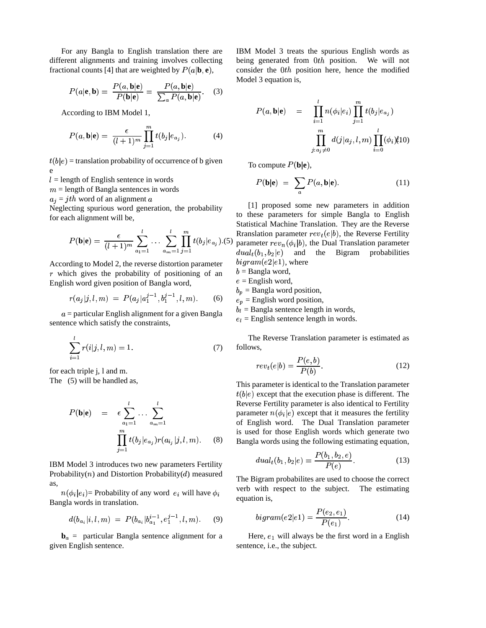For any Bangla to English translation there are different alignments and training involves collecting fractional counts [4] that are weighted by  $P(a|\mathbf{b}, \mathbf{e})$ ,

$$
P(a|\mathbf{e}, \mathbf{b}) = \frac{P(a, \mathbf{b}|\mathbf{e})}{P(\mathbf{b}|\mathbf{e})} = \frac{P(a, \mathbf{b}|\mathbf{e})}{\sum_{a} P(a, \mathbf{b}|\mathbf{e})}.
$$
 (3)

According to IBM Model 1,

$$
P(a, \mathbf{b}|\mathbf{e}) = \frac{\epsilon}{(l+1)^m} \prod_{j=1}^m t(b_j|e_{a_j}). \tag{4}
$$

 e  $(b|e)$  = translation probability of occurrence of b given

 $l =$  length of English sentence in words

 $m =$  length of Bangla sentences in words

 $a_j = jth$  word of an alignment

Neglecting spurious word generation, the probability for each alignment will be,

$$
P(\mathbf{b}|\mathbf{e}) = \frac{\epsilon}{(l+1)^m} \sum_{a_1=1}^l \dots \sum_{a_m=1}^l \prod_{j=1}^m t(b_j|e_{a_j}).
$$
 (5)  $\frac{R}{p_i}$ 

According to Model 2, the reverse distortion parameter  $r$  which gives the probability of positioning of an English word given position of Bangla word,

$$
r(a_j|j,l,m) = P(a_j|a_1^{j-1}, b_1^{j-1}, l, m). \tag{6}
$$

 $a =$  particular English alignment for a given Bangla sentence which satisfy the constraints,

$$
\sum_{i=1}^{l} r(i|j, l, m) = 1.
$$
 (7)

for each triple j, l and m.

The (5) will be handled as,

$$
P(\mathbf{b}|\mathbf{e}) = \epsilon \sum_{a_1=1}^{l} \cdots \sum_{a_m=1}^{l} \text{Revers} \text{ paramo} \text{ of } \text{Eng} \text{ at } \text{ and } \text{ for } \text{ Eng} \text{ is used} \text{ is used} \text{ for } \text{Reg} \text{ is used}.
$$

IBM Model 3 introduces two new parameters Fertility Probability( $n$ ) and Distortion Probability( $d$ ) measured as,  $(\phi_i | e_i)$  = Probability of any word  $e_i$  will have  $\phi_i$  with

\* Bangla words in translation.

$$
d(b_{a_i}|i, l, m) = P(b_{a_i}|b_{a_1}^{i-1}, e_1^{j-1}, l, m). \tag{9}
$$

 **particular Bangla sentence alignment for a** given English sentence.

IBM Model 3 treats the spurious English words as being generated from  $0th$  position. We will not consider the  $0th$  position here, hence the modified Model 3 equation is,

$$
P(a, \mathbf{b}|\mathbf{e}) = \prod_{i=1}^{l} n(\phi_i|e_i) \prod_{j=1}^{m} t(b_j|e_{a_j})
$$

$$
\prod_{j:a_j \neq 0}^{m} d(j|a_j, l, m) \prod_{i=0}^{l} (\phi_i)(10)
$$

To compute  $P(\mathbf{b}|\mathbf{e}),$ 

$$
P(\mathbf{b}|\mathbf{e}) = \sum_{a} P(a, \mathbf{b}|\mathbf{e}). \tag{11}
$$

 $\sum_{i=1}^{l} \prod_{i=1}^{m} t(h_i | e_i)$  (5) Rranslation parameter  $rev_t(e|b)$ , the Reverse Fertility  $(e_{a_j})$ .(5) parameter  $rev_n(\phi_i|b)$ , the Dual Translation parameter [1] proposed some new parameters in addition to these parameters for simple Bangla to English Statistical Machine Translation. They are the Reverse  $dual_t(b_1, b_2|e)$  and the Bigram probabilities  $bigram(e2|e1)$ , where

 $b =$ Bangla word,

- $e =$ English word,
- $b_p$  = Bangla word position,
- $e_p$  = English word position,

 $b_l$  = Bangla sentence length in words,

 $e_l$  = English sentence length in words.

The Reverse Translation parameter is estimated as follows,

$$
rev_t(e|b) = \frac{P(e,b)}{P(b)}.\t(12)
$$

This parameter is identical to the Translation parameter Reverse Fertility parameter is also identical to Fertility  $(b|e)$  except that the execution phase is different. The parameter  $n(\phi_i|e)$  except that it measures the fertility of English word. The Dual Translation parameter is used for those English words which generate two Bangla words using the following estimating equation,

$$
dual_t(b_1, b_2|e) = \frac{P(b_1, b_2, e)}{P(e)}.\t(13)
$$

The Bigram probabilites are used to choose the correct verb with respect to the subject. The estimating equation is,

$$
bigram(e2|e1) = \frac{P(e_2, e_1)}{P(e_1)}.
$$
 (14)

Here,  $e_1$  will always be the first word in a English sentence, i.e., the subject.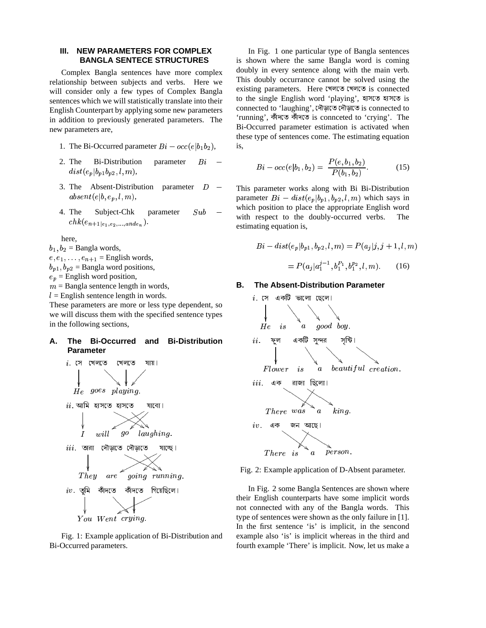### III. NEW PARAMETERS FOR COMPLEX **BANGLA SENTECE STRUCTURES**

Complex Bangla sentences have more complex relationship between subjects and verbs. Here we will consider only a few types of Complex Bangla sentences which we will statistically translate into their English Counterpart by applying some new parameters in addition to previously generated parameters. The new parameters are,

- 1. The Bi-Occurred parameter  $Bi occ(e|b_1b_2)$ ,
- 2. The **Bi-Distribution** parameter  $Bi$  $dist(e_p|b_{p1}b_{p2},l,m),$
- 3. The Absent-Distribution parameter  $D$  $\mathit{absent}(e|b,e_p,l,m),$
- 4. The Subject-Chk parameter  $Sub$  $chk(e_{n+1|e_1,e_2,...,ande_n}).$

here.

 $b_1, b_2$  = Bangla words,

 $e, e_1, \ldots, e_{n+1}$  = English words,

 $b_{n1}$ ,  $b_{n2}$  = Bangla word positions,

 $e_p$  = English word position,

 $m =$ Bangla sentence length in words,

 $l =$  English sentence length in words.

These parameters are more or less type dependent, so we will discuss them with the specified sentence types in the following sections,

#### А. The Bi-Occurred and **Bi-Distribution Parameter**



Fig. 1: Example application of Bi-Distribution and Bi-Occurred parameters.

In Fig. 1 one particular type of Bangla sentences is shown where the same Bangla word is coming doubly in every sentence along with the main verb. This doubly occurrance cannot be solved using the existing parameters. Here খেলতে খেলতে is connected to the single English word 'playing', হাসতে হাসতে is connected to 'laughing', দৌড়াতে দৌড়াতে is connected to 'running', কাঁদতে কাঁদতে is connceted to 'crying'. The Bi-Occurred parameter estimation is activated when these type of sentences come. The estimating equation is.

$$
Bi - occ(e|b_1, b_2) = \frac{P(e, b_1, b_2)}{P(b_1, b_2)}.
$$
 (15)

This parameter works along with Bi Bi-Distribution parameter  $Bi - dist(e_p|b_{p1}, b_{p2}, l, m)$  which says in which position to place the appropriate English word with respect to the doubly-occurred verbs. The estimating equation is,

$$
Bi - dist(e_p|b_{p1}, b_{p2}, l, m) = P(a_j|j, j + 1, l, m)
$$

$$
= P(a_j|a_1^{j-1}, b_1^{P_1}, b_1^{P_2}, l, m). \tag{16}
$$

#### В. The Absent-Distribution Parameter



Fig. 2: Example application of D-Absent parameter.

In Fig. 2 some Bangla Sentences are shown where their English counterparts have some implicit words not connected with any of the Bangla words. This type of sentences were shown as the only failure in [1]. In the first sentence 'is' is implicit, in the sencond example also 'is' is implicit whereas in the third and fourth example 'There' is implicit. Now, let us make a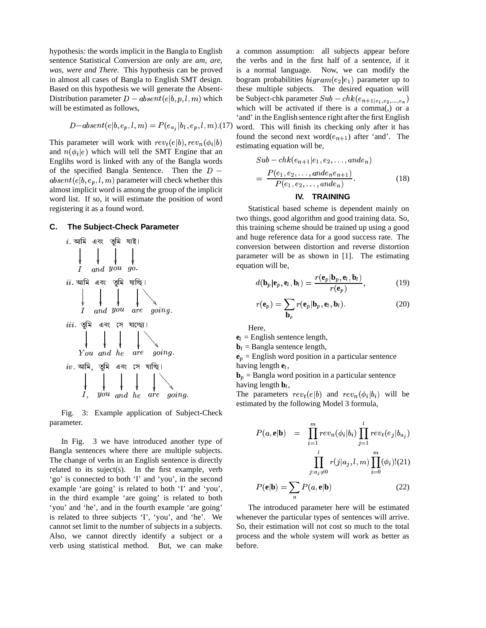hypothesis: the words implicit in the Bangla to English sentence Statistical Conversion are only are *am, are, was, were and There*. This hypothesis can be proved in almost all cases of Bangla to English SMT design. Based on this hypothesis we will generate the Absent-Distribution parameter  $D - absent(e|b, p, l, m)$  which will be estimated as follows,

$$
D-absent(e|b, e_p, l, m) = P(e_{a_i}|b_1, e_p, l, m)
$$
. (17)

This parameter will work with  $rev_t(e|b), rev_n(\phi_i|b)$  for example to the set and  $n(\phi_i|e)$  which will tell the SMT Engine that an Englihs word is linked with any of the Bangla words of the specified Bangla Sentence. Then the  $D \mathit{absent}(e|b, e_p, l, m)$  parameter will check whether this almost implicit word is among the group of the implicit word list. If so, it will estimate the position of word registering it as a found word.

# **C. The Subject-Check Parameter**



Fig. 3: Example application of Subject-Check parameter.

In Fig. 3 we have introduced another type of Bangla sentences where there are multiple subjects. The change of verbs in an English sentence is directly related to its suject(s). In the first example, verb 'go' is connected to both 'I' and 'you', in the second example 'are going' is related to both 'I' and 'you', in the third example 'are going' is related to both 'you' and 'he', and in the fourth example 'are going' is related to three subjects 'I', 'you', and 'he'. We cannot set limit to the number of subjects in a subjects. Also, we cannot directly identify a subject or a verb using statistical method. But, we can make

 $\ell$  estimating equation will be, a common assumption: all subjects appear before the verbs and in the first half of a sentence, if it is a normal language. Now, we can modify the bogram probabilities  $bigram(e_2|e_1)$  parameter up to these multiple subjects. The desired equation will be Subject-chk parameter  $Sub - chk(e_{n+1|e_1, e_2, \ldots, e_n})$ which will be activated if there is a comma(,) or a 'and' in the English sentence right after the first English word. This will finish its checking only after it has found the second next word $(e_{n+1})$  after 'and'. The

$$
Sub - chk(e_{n+1}|e_1, e_2, ..., and e_n)
$$
  
= 
$$
\frac{P(e_1, e_2, ..., and e_ne_{n+1})}{P(e_1, e_2, ..., and e_n)}.
$$
 (18)

### **IV. TRAINING**

Statistical based scheme is dependent mainly on two things, good algorithm and good training data. So, this training scheme should be trained up using a good and huge reference data for a good success rate. The conversion between distortion and reverse distortion parameter will be as shown in [1]. The estimating equation will be,

$$
d(\mathbf{b}_p|\mathbf{e}_p,\mathbf{e}_l,\mathbf{b}_l) = \frac{r(\mathbf{e}_p|\mathbf{b}_p,\mathbf{e}_l,\mathbf{b}_l)}{r(\mathbf{e}_p)},
$$
(19)

$$
r(\mathbf{e}_p) = \sum_{\mathbf{b}_p} r(\mathbf{e}_p | \mathbf{b}_p, \mathbf{e}_l, \mathbf{b}_l).
$$
 (20)

Here,

 ${\bf e}_l$  = English sentence length,

 $$ 

 ${\bf e}_p$  = English word position in a particular sentence having length **e** ,

 **= Bangla word position in a particular sentence** having length **b** ,

having length  $\mathbf{b}_l$ ,<br>The parameters  $rev_t(e|b)$  and  $rev_n(\phi_i|b_i)$  will be estimated by the following Model 3 formula,

$$
P(a, \mathbf{e}|\mathbf{b}) = \prod_{i=1}^{m} rev_n(\phi_i|b_i) \prod_{j=1}^{l} rev_t(e_j|b_{a_j})
$$

$$
\prod_{j:a_j \neq 0}^{l} r(j|a_j, l, m) \prod_{i=0}^{m} (\phi_i)!(21)
$$

$$
P(\mathbf{e}|\mathbf{b}) = \sum P(a, \mathbf{e}|\mathbf{b})
$$
(22)

The introduced parameter here will be estimated whenever the particular types of sentences will arrive. So, their estimation will not cost so much to the total process and the whole system will work as better as before.

 $\overline{a}$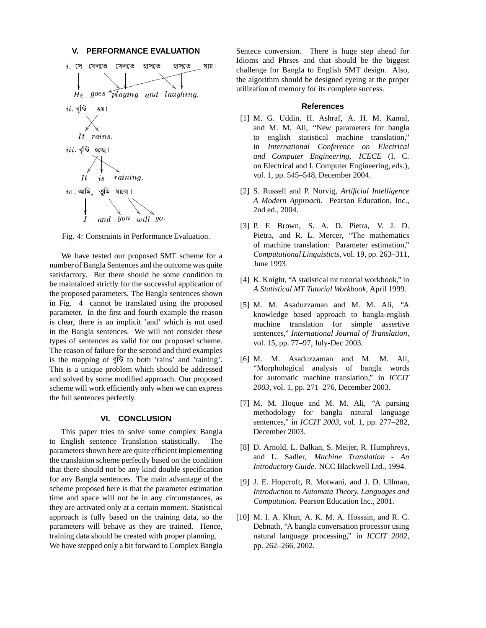### **V. PERFORMANCE EVALUATION**



Fig. 4: Constraints in Performance Evaluation.

We have tested our proposed SMT scheme for a number of Bangla Sentences and the outcome was quite satisfactory. But there should be some condition to be maintained strictly for the successful application of the proposed parameters. The Bangla sentences shown in Fig. 4 cannot be translated using the proposed parameter. In the first and fourth example the reason is clear, there is an implicit 'and' which is not used in the Bangla sentences. We will not consider these types of sentences as valid for our proposed scheme. The reason of failure for the second and third examples is the mapping of 5^0\_ to both 'rains' and 'raining'. This is a unique problem which should be addressed and solved by some modified approach. Our proposed scheme will work efficiently only when we can express the full sentences perfectly.

# **VI. CONCLUSION**

This paper tries to solve some complex Bangla to English sentence Translation statistically. The parameters shown here are quite efficient implementing the translation scheme perfectly based on the condition that there should not be any kind double specification for any Bangla sentences. The main advantage of the scheme proposed here is that the parameter estimation time and space will not be in any circumstances, as they are activated only at a certain moment. Statistical approach is fully based on the training data, so the parameters will behave as they are trained. Hence, training data should be created with proper planning. We have stepped only a bit forward to Complex Bangla Sentece conversion. There is huge step ahead for Idioms and Phrses and that should be the biggest challenge for Bangla to English SMT design. Also, the algorithm should be designed eyeing at the proper utilization of memory for its complete success.

### **References**

- [1] M. G. Uddin, H. Ashraf, A. H. M. Kamal, and M. M. Ali, "New parameters for bangla to english statistical machine translation," in *International Conference on Electrical and Computer Engineering, ICECE* (I. C. on Electrical and I. Computer Engineering, eds.), vol. 1, pp. 545–548, December 2004.
- [2] S. Russell and P. Norvig, *Artificial Intelligence A Modern Approach*. Pearson Education, Inc., 2nd ed., 2004.
- [3] P. F. Brown, S. A. D. Pietra, V. J. D. Pietra, and R. L. Mercer, "The mathematics of machine translation: Parameter estimation," *Computational Linguisticts*, vol. 19, pp. 263–311, June 1993.
- [4] K. Knight, "A statistical mt tutorial workbook," in *A Statistical MT Tutorial Workbook*, April 1999.
- [5] M. M. Asaduzzaman and M. M. Ali, "A knowledge based approach to bangla-english machine translation for simple assertive sentences," *International Journal of Translation*, vol. 15, pp. 77–97, July-Dec 2003.
- [6] M. M. Asaduzzaman and M. M. Ali, "Morphological analysis of bangla words for automatic machine translation," in *ICCIT 2003*, vol. 1, pp. 271–276, December 2003.
- [7] M. M. Hoque and M. M. Ali, "A parsing methodology for bangla natural language sentences," in *ICCIT 2003*, vol. 1, pp. 277–282, December 2003.
- [8] D. Arnold, L. Balkan, S. Meijer, R. Humphreys, and L. Sadler, *Machine Translation - An Introductory Guide*. NCC Blackwell Ltd., 1994.
- [9] J. E. Hopcroft, R. Motwani, and J. D. Ullman, *Introduction to Automata Theory, Languages and Computation*. Pearson Education Inc., 2001.
- [10] M. I. A. Khan, A. K. M. A. Hossain, and R. C. Debnath, "A bangla conversation processor using natural language processing," in *ICCIT 2002*, pp. 262–266, 2002.